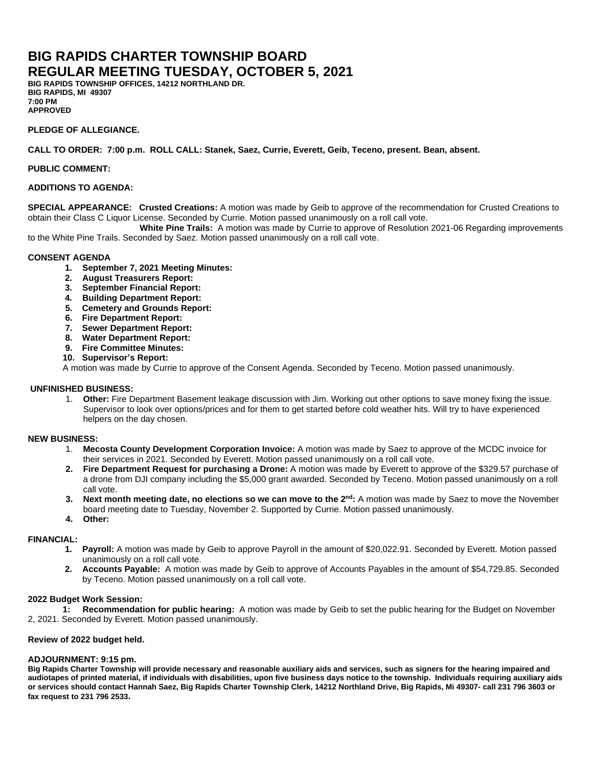# **BIG RAPIDS CHARTER TOWNSHIP BOARD REGULAR MEETING TUESDAY, OCTOBER 5, 2021**

**BIG RAPIDS TOWNSHIP OFFICES, 14212 NORTHLAND DR. BIG RAPIDS, MI 49307 7:00 PM APPROVED**

### **PLEDGE OF ALLEGIANCE.**

**CALL TO ORDER: 7:00 p.m. ROLL CALL: Stanek, Saez, Currie, Everett, Geib, Teceno, present. Bean, absent.** 

#### **PUBLIC COMMENT:**

# **ADDITIONS TO AGENDA:**

**SPECIAL APPEARANCE: Crusted Creations:** A motion was made by Geib to approve of the recommendation for Crusted Creations to obtain their Class C Liquor License. Seconded by Currie. Motion passed unanimously on a roll call vote.

 **White Pine Trails:** A motion was made by Currie to approve of Resolution 2021-06 Regarding improvements to the White Pine Trails. Seconded by Saez. Motion passed unanimously on a roll call vote.

#### **CONSENT AGENDA**

- **1. September 7, 2021 Meeting Minutes:**
- **2. August Treasurers Report:**
- **3. September Financial Report:**
- **4. Building Department Report:**
- **5. Cemetery and Grounds Report:**
- **6. Fire Department Report:**
- **7. Sewer Department Report:**
- **8. Water Department Report:**
- **9. Fire Committee Minutes:**
- **10. Supervisor's Report:**

A motion was made by Currie to approve of the Consent Agenda. Seconded by Teceno. Motion passed unanimously.

# **UNFINISHED BUSINESS:**

1. **Other:** Fire Department Basement leakage discussion with Jim. Working out other options to save money fixing the issue. Supervisor to look over options/prices and for them to get started before cold weather hits. Will try to have experienced helpers on the day chosen.

# **NEW BUSINESS:**

- 1. **Mecosta County Development Corporation Invoice:** A motion was made by Saez to approve of the MCDC invoice for their services in 2021. Seconded by Everett. Motion passed unanimously on a roll call vote.
- **2. Fire Department Request for purchasing a Drone:** A motion was made by Everett to approve of the \$329.57 purchase of a drone from DJI company including the \$5,000 grant awarded. Seconded by Teceno. Motion passed unanimously on a roll call vote.
- **3. Next month meeting date, no elections so we can move to the 2nd:** A motion was made by Saez to move the November board meeting date to Tuesday, November 2. Supported by Currie. Motion passed unanimously.
- **4. Other:**

# **FINANCIAL:**

- **1. Payroll:** A motion was made by Geib to approve Payroll in the amount of \$20,022.91. Seconded by Everett. Motion passed unanimously on a roll call vote.
- **2. Accounts Payable:** A motion was made by Geib to approve of Accounts Payables in the amount of \$54,729.85. Seconded by Teceno. Motion passed unanimously on a roll call vote.

#### **2022 Budget Work Session:**

**1: Recommendation for public hearing:** A motion was made by Geib to set the public hearing for the Budget on November 2, 2021. Seconded by Everett. Motion passed unanimously.

#### **Review of 2022 budget held.**

#### **ADJOURNMENT: 9:15 pm.**

**Big Rapids Charter Township will provide necessary and reasonable auxiliary aids and services, such as signers for the hearing impaired and audiotapes of printed material, if individuals with disabilities, upon five business days notice to the township. Individuals requiring auxiliary aids or services should contact Hannah Saez, Big Rapids Charter Township Clerk, 14212 Northland Drive, Big Rapids, Mi 49307- call 231 796 3603 or fax request to 231 796 2533.**